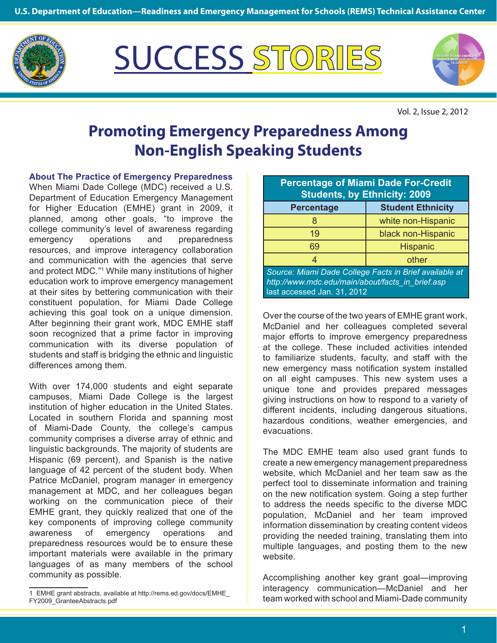

**READINESS AND EMERGENCY** SUCCESS **STORIES**



Vol. 2, Issue 2, 2012

## **Promoting Emergency Preparedness Among Non-English Speaking Students**

**About The Practice of Emergency Preparedness**

When Miami Dade College (MDC) received a U.S. Department of Education Emergency Management for Higher Education (EMHE) grant in 2009, it planned, among other goals, "to improve the college community's level of awareness regarding emergency operations and preparedness resources, and improve interagency collaboration and communication with the agencies that serve and protect MDC."1 While many institutions of higher education work to improve emergency management at their sites by bettering communication with their constituent population, for Miami Dade College achieving this goal took on a unique dimension. After beginning their grant work, MDC EMHE staff soon recognized that a prime factor in improving communication with its diverse population of students and staff is bridging the ethnic and linguistic differences among them.

With over 174,000 students and eight separate campuses, Miami Dade College is the largest institution of higher education in the United States. Located in southern Florida and spanning most of Miami-Dade County, the college's campus community comprises a diverse array of ethnic and linguistic backgrounds. The majority of students are Hispanic (69 percent), and Spanish is the native language of 42 percent of the student body. When Patrice McDaniel, program manager in emergency management at MDC, and her colleagues began working on the communication piece of their EMHE grant, they quickly realized that one of the key components of improving college community awareness of emergency operations and preparedness resources would be to ensure these important materials were available in the primary languages of as many members of the school community as possible.

| <b>Percentage of Miami Dade For-Credit</b><br><b>Students, by Ethnicity: 2009</b>                                                         |                          |
|-------------------------------------------------------------------------------------------------------------------------------------------|--------------------------|
| <b>Percentage</b>                                                                                                                         | <b>Student Ethnicity</b> |
|                                                                                                                                           | white non-Hispanic       |
| 19                                                                                                                                        | black non-Hispanic       |
| 69                                                                                                                                        | <b>Hispanic</b>          |
| 4                                                                                                                                         | other                    |
| Source: Miami Dade College Facts in Brief available at<br>http://www.mdc.edu/main/about/facts in brief.asp<br>last accessed Jan. 31, 2012 |                          |

Over the course of the two years of EMHE grant work, McDaniel and her colleagues completed several major efforts to improve emergency preparedness at the college. These included activities intended to familiarize students, faculty, and staff with the new emergency mass notification system installed on all eight campuses. This new system uses a unique tone and provides prepared messages giving instructions on how to respond to a variety of different incidents, including dangerous situations, hazardous conditions, weather emergencies, and evacuations.

The MDC EMHE team also used grant funds to create a new emergency management preparedness website, which McDaniel and her team saw as the perfect tool to disseminate information and training on the new notification system. Going a step further to address the needs specific to the diverse MDC population, McDaniel and her team improved information dissemination by creating content videos providing the needed training, translating them into multiple languages, and posting them to the new website.

Accomplishing another key grant goal—improving interagency communication—McDaniel and her team worked with school and Miami-Dade community

<sup>1</sup> EMHE grant abstracts, available at http://rems.ed.gov/docs/EMHE\_ FY2009\_GranteeAbstracts.pdf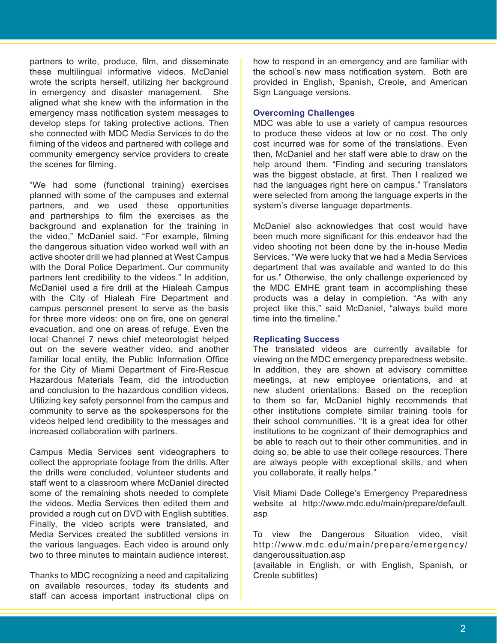partners to write, produce, film, and disseminate these multilingual informative videos. McDaniel wrote the scripts herself, utilizing her background in emergency and disaster management. She aligned what she knew with the information in the emergency mass notification system messages to develop steps for taking protective actions. Then she connected with MDC Media Services to do the filming of the videos and partnered with college and community emergency service providers to create the scenes for filming.

"We had some (functional training) exercises planned with some of the campuses and external partners, and we used these opportunities and partnerships to film the exercises as the background and explanation for the training in the video," McDaniel said. "For example, filming the dangerous situation video worked well with an active shooter drill we had planned at West Campus with the Doral Police Department. Our community partners lent credibility to the videos." In addition, McDaniel used a fire drill at the Hialeah Campus with the City of Hialeah Fire Department and campus personnel present to serve as the basis for three more videos: one on fire, one on general evacuation, and one on areas of refuge. Even the local Channel 7 news chief meteorologist helped out on the severe weather video, and another familiar local entity, the Public Information Office for the City of Miami Department of Fire-Rescue Hazardous Materials Team, did the introduction and conclusion to the hazardous condition videos. Utilizing key safety personnel from the campus and community to serve as the spokespersons for the videos helped lend credibility to the messages and increased collaboration with partners.

Campus Media Services sent videographers to collect the appropriate footage from the drills. After the drills were concluded, volunteer students and staff went to a classroom where McDaniel directed some of the remaining shots needed to complete the videos. Media Services then edited them and provided a rough cut on DVD with English subtitles. Finally, the video scripts were translated, and Media Services created the subtitled versions in the various languages. Each video is around only two to three minutes to maintain audience interest.

Thanks to MDC recognizing a need and capitalizing on available resources, today its students and staff can access important instructional clips on how to respond in an emergency and are familiar with the school's new mass notification system. Both are provided in English, Spanish, Creole, and American Sign Language versions.

## **Overcoming Challenges**

MDC was able to use a variety of campus resources to produce these videos at low or no cost. The only cost incurred was for some of the translations. Even then, McDaniel and her staff were able to draw on the help around them. "Finding and securing translators was the biggest obstacle, at first. Then I realized we had the languages right here on campus." Translators were selected from among the language experts in the system's diverse language departments.

McDaniel also acknowledges that cost would have been much more significant for this endeavor had the video shooting not been done by the in-house Media Services. "We were lucky that we had a Media Services department that was available and wanted to do this for us." Otherwise, the only challenge experienced by the MDC EMHE grant team in accomplishing these products was a delay in completion. "As with any project like this," said McDaniel, "always build more time into the timeline."

## **Replicating Success**

The translated videos are currently available for viewing on the MDC emergency preparedness website. In addition, they are shown at advisory committee meetings, at new employee orientations, and at new student orientations. Based on the reception to them so far, McDaniel highly recommends that other institutions complete similar training tools for their school communities. "It is a great idea for other institutions to be cognizant of their demographics and be able to reach out to their other communities, and in doing so, be able to use their college resources. There are always people with exceptional skills, and when you collaborate, it really helps."

Visit Miami Dade College's Emergency Preparedness website at http://www.mdc.edu/main/prepare/default. asp

To view the Dangerous Situation video, visit http://www.mdc.edu/main/prepare/emergency/ dangeroussituation.asp

(available in English, or with English, Spanish, or Creole subtitles)